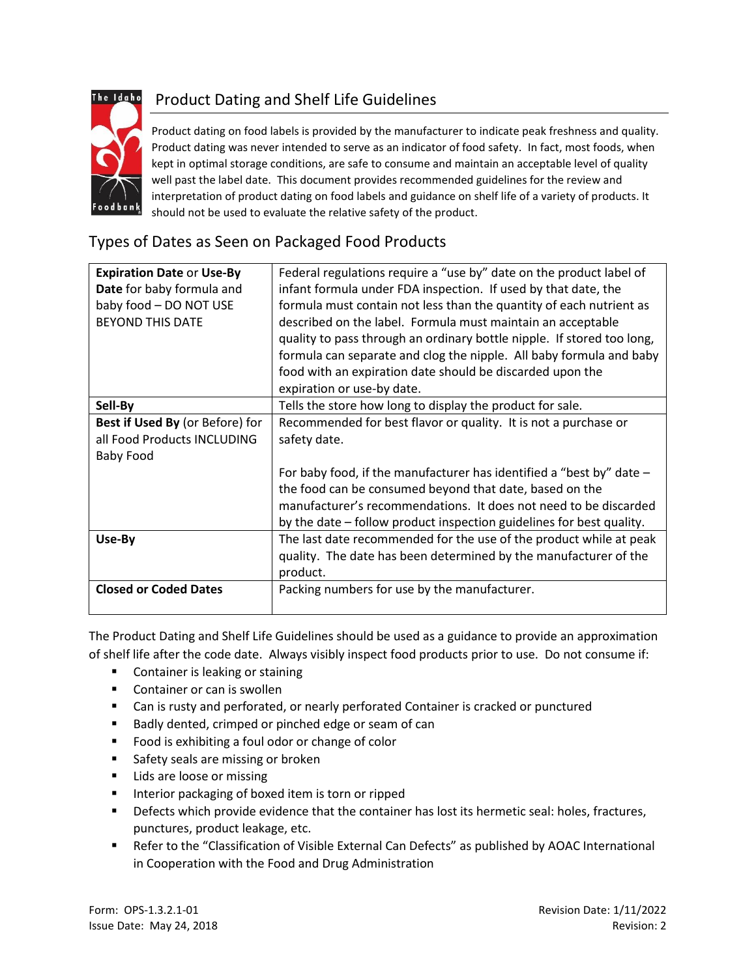

# Product Dating and Shelf Life Guidelines

Product dating on food labels is provided by the manufacturer to indicate peak freshness and quality. Product dating was never intended to serve as an indicator of food safety. In fact, most foods, when kept in optimal storage conditions, are safe to consume and maintain an acceptable level of quality well past the label date. This document provides recommended guidelines for the review and interpretation of product dating on food labels and guidance on shelf life of a variety of products. It should not be used to evaluate the relative safety of the product.

#### Types of Dates as Seen on Packaged Food Products

| <b>Expiration Date or Use-By</b><br>Date for baby formula and<br>baby food - DO NOT USE<br><b>BEYOND THIS DATE</b> | Federal regulations require a "use by" date on the product label of<br>infant formula under FDA inspection. If used by that date, the<br>formula must contain not less than the quantity of each nutrient as<br>described on the label. Formula must maintain an acceptable<br>quality to pass through an ordinary bottle nipple. If stored too long,<br>formula can separate and clog the nipple. All baby formula and baby<br>food with an expiration date should be discarded upon the<br>expiration or use-by date. |
|--------------------------------------------------------------------------------------------------------------------|-------------------------------------------------------------------------------------------------------------------------------------------------------------------------------------------------------------------------------------------------------------------------------------------------------------------------------------------------------------------------------------------------------------------------------------------------------------------------------------------------------------------------|
| Sell-By                                                                                                            | Tells the store how long to display the product for sale.                                                                                                                                                                                                                                                                                                                                                                                                                                                               |
| Best if Used By (or Before) for<br>all Food Products INCLUDING<br><b>Baby Food</b>                                 | Recommended for best flavor or quality. It is not a purchase or<br>safety date.                                                                                                                                                                                                                                                                                                                                                                                                                                         |
|                                                                                                                    | For baby food, if the manufacturer has identified a "best by" date $-$<br>the food can be consumed beyond that date, based on the<br>manufacturer's recommendations. It does not need to be discarded<br>by the date – follow product inspection guidelines for best quality.                                                                                                                                                                                                                                           |
| Use-By                                                                                                             | The last date recommended for the use of the product while at peak<br>quality. The date has been determined by the manufacturer of the<br>product.                                                                                                                                                                                                                                                                                                                                                                      |
| <b>Closed or Coded Dates</b>                                                                                       | Packing numbers for use by the manufacturer.                                                                                                                                                                                                                                                                                                                                                                                                                                                                            |

The Product Dating and Shelf Life Guidelines should be used as a guidance to provide an approximation of shelf life after the code date. Always visibly inspect food products prior to use. Do not consume if:

- **Container is leaking or staining**
- **Container or can is swollen**
- Can is rusty and perforated, or nearly perforated Container is cracked or punctured
- Badly dented, crimped or pinched edge or seam of can
- **Food is exhibiting a foul odor or change of color**
- **Safety seals are missing or broken**
- **Lids are loose or missing**
- **IF Interior packaging of boxed item is torn or ripped**
- Defects which provide evidence that the container has lost its hermetic seal: holes, fractures, punctures, product leakage, etc.
- Refer to the "Classification of Visible External Can Defects" as published by AOAC International in Cooperation with the Food and Drug Administration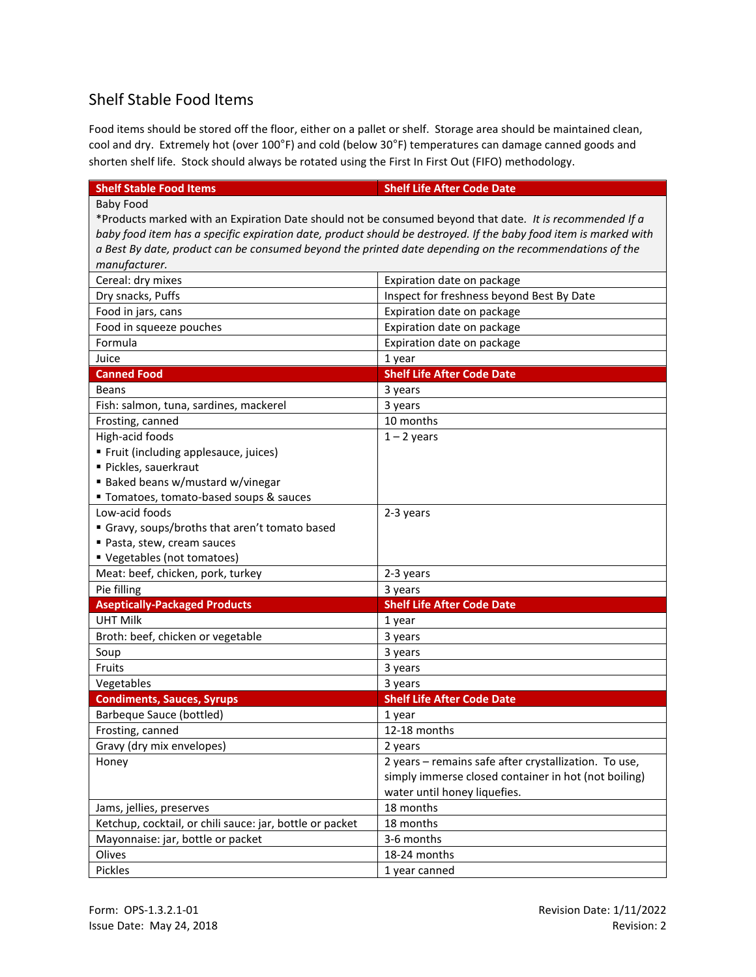### Shelf Stable Food Items

Food items should be stored off the floor, either on a pallet or shelf. Storage area should be maintained clean, cool and dry. Extremely hot (over 100°F) and cold (below 30°F) temperatures can damage canned goods and shorten shelf life. Stock should always be rotated using the First In First Out (FIFO) methodology.

| <b>Shelf Stable Food Items</b>                                                                                   | <b>Shelf Life After Code Date</b>                     |  |
|------------------------------------------------------------------------------------------------------------------|-------------------------------------------------------|--|
| <b>Baby Food</b>                                                                                                 |                                                       |  |
| *Products marked with an Expiration Date should not be consumed beyond that date. It is recommended If a         |                                                       |  |
| baby food item has a specific expiration date, product should be destroyed. If the baby food item is marked with |                                                       |  |
| a Best By date, product can be consumed beyond the printed date depending on the recommendations of the          |                                                       |  |
| manufacturer.                                                                                                    |                                                       |  |
| Cereal: dry mixes                                                                                                | Expiration date on package                            |  |
| Dry snacks, Puffs                                                                                                | Inspect for freshness beyond Best By Date             |  |
| Food in jars, cans                                                                                               | Expiration date on package                            |  |
| Food in squeeze pouches                                                                                          | Expiration date on package                            |  |
| Formula                                                                                                          | Expiration date on package                            |  |
| Juice                                                                                                            | 1 year                                                |  |
| <b>Canned Food</b>                                                                                               | <b>Shelf Life After Code Date</b>                     |  |
| <b>Beans</b>                                                                                                     | 3 years                                               |  |
| Fish: salmon, tuna, sardines, mackerel                                                                           | 3 years                                               |  |
| Frosting, canned                                                                                                 | 10 months                                             |  |
| High-acid foods                                                                                                  | $1 - 2$ years                                         |  |
| " Fruit (including applesauce, juices)                                                                           |                                                       |  |
| · Pickles, sauerkraut                                                                                            |                                                       |  |
| Baked beans w/mustard w/vinegar                                                                                  |                                                       |  |
| " Tomatoes, tomato-based soups & sauces                                                                          |                                                       |  |
| Low-acid foods                                                                                                   | 2-3 years                                             |  |
| Gravy, soups/broths that aren't tomato based                                                                     |                                                       |  |
| Pasta, stew, cream sauces                                                                                        |                                                       |  |
| " Vegetables (not tomatoes)                                                                                      |                                                       |  |
| Meat: beef, chicken, pork, turkey                                                                                | 2-3 years                                             |  |
| Pie filling                                                                                                      | 3 years                                               |  |
| <b>Aseptically-Packaged Products</b>                                                                             | <b>Shelf Life After Code Date</b>                     |  |
| <b>UHT Milk</b>                                                                                                  | 1 year                                                |  |
| Broth: beef, chicken or vegetable                                                                                | 3 years                                               |  |
| Soup                                                                                                             | 3 years                                               |  |
| Fruits                                                                                                           | 3 years                                               |  |
| Vegetables                                                                                                       | 3 years                                               |  |
| <b>Condiments, Sauces, Syrups</b>                                                                                | <b>Shelf Life After Code Date</b>                     |  |
| <b>Barbeque Sauce (bottled)</b>                                                                                  | 1 year                                                |  |
| Frosting, canned                                                                                                 | 12-18 months                                          |  |
| Gravy (dry mix envelopes)                                                                                        | 2 years                                               |  |
| Honey                                                                                                            | 2 years - remains safe after crystallization. To use, |  |
|                                                                                                                  | simply immerse closed container in hot (not boiling)  |  |
|                                                                                                                  | water until honey liquefies.                          |  |
| Jams, jellies, preserves                                                                                         | 18 months                                             |  |
| Ketchup, cocktail, or chili sauce: jar, bottle or packet                                                         | 18 months                                             |  |
| Mayonnaise: jar, bottle or packet                                                                                | 3-6 months                                            |  |
| Olives                                                                                                           | 18-24 months                                          |  |
| Pickles                                                                                                          | 1 year canned                                         |  |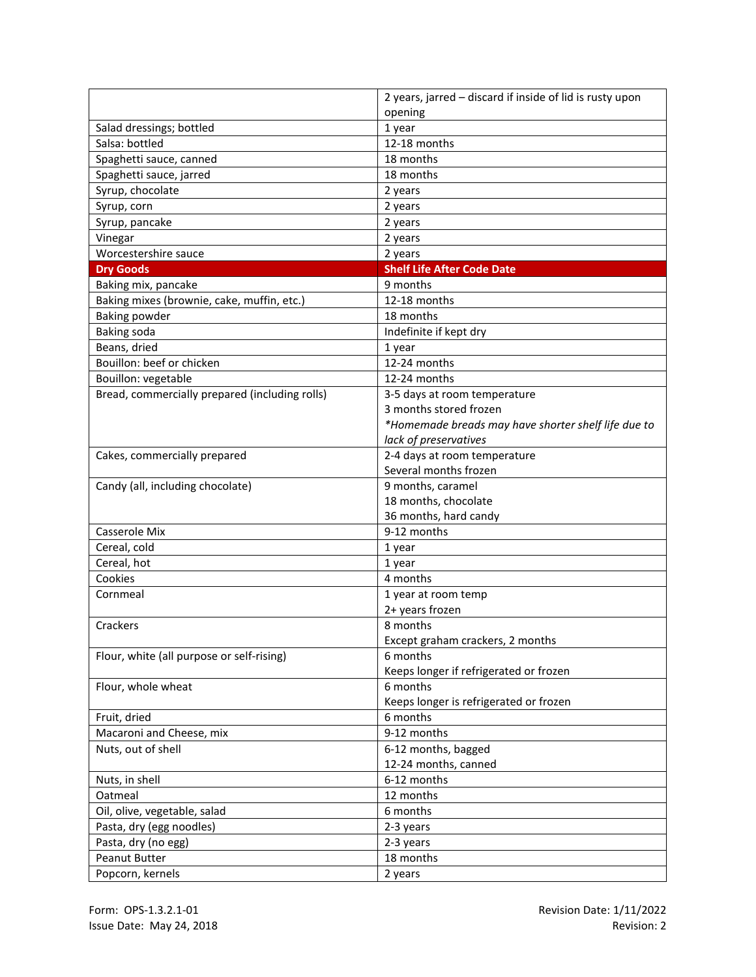|                                                | 2 years, jarred - discard if inside of lid is rusty upon |  |
|------------------------------------------------|----------------------------------------------------------|--|
|                                                | opening                                                  |  |
| Salad dressings; bottled                       | 1 year                                                   |  |
| Salsa: bottled                                 | 12-18 months                                             |  |
| Spaghetti sauce, canned                        | 18 months                                                |  |
| Spaghetti sauce, jarred                        | 18 months                                                |  |
| Syrup, chocolate                               | 2 years                                                  |  |
| Syrup, corn                                    | 2 years                                                  |  |
| Syrup, pancake                                 | 2 years                                                  |  |
| Vinegar                                        | 2 years                                                  |  |
| Worcestershire sauce                           | 2 years                                                  |  |
| <b>Dry Goods</b>                               | <b>Shelf Life After Code Date</b>                        |  |
| Baking mix, pancake                            | 9 months                                                 |  |
| Baking mixes (brownie, cake, muffin, etc.)     | 12-18 months                                             |  |
| <b>Baking powder</b>                           | 18 months                                                |  |
| Baking soda                                    | Indefinite if kept dry                                   |  |
| Beans, dried                                   | 1 year                                                   |  |
| Bouillon: beef or chicken                      | 12-24 months                                             |  |
| Bouillon: vegetable                            | 12-24 months                                             |  |
| Bread, commercially prepared (including rolls) | 3-5 days at room temperature                             |  |
|                                                | 3 months stored frozen                                   |  |
|                                                | *Homemade breads may have shorter shelf life due to      |  |
|                                                | lack of preservatives                                    |  |
| Cakes, commercially prepared                   | 2-4 days at room temperature                             |  |
|                                                | Several months frozen                                    |  |
| Candy (all, including chocolate)               | 9 months, caramel                                        |  |
|                                                | 18 months, chocolate                                     |  |
|                                                | 36 months, hard candy                                    |  |
| Casserole Mix                                  | 9-12 months                                              |  |
| Cereal, cold                                   | 1 year                                                   |  |
| Cereal, hot                                    | 1 year                                                   |  |
| Cookies                                        | 4 months                                                 |  |
| Cornmeal                                       | 1 year at room temp                                      |  |
|                                                | 2+ years frozen                                          |  |
| Crackers                                       | 8 months                                                 |  |
|                                                | Except graham crackers, 2 months                         |  |
| Flour, white (all purpose or self-rising)      | 6 months                                                 |  |
|                                                | Keeps longer if refrigerated or frozen                   |  |
| Flour, whole wheat                             | 6 months                                                 |  |
|                                                | Keeps longer is refrigerated or frozen                   |  |
| Fruit, dried                                   | 6 months                                                 |  |
| Macaroni and Cheese, mix                       | 9-12 months                                              |  |
| Nuts, out of shell                             | 6-12 months, bagged                                      |  |
|                                                | 12-24 months, canned                                     |  |
| Nuts, in shell                                 | 6-12 months                                              |  |
| Oatmeal                                        | 12 months                                                |  |
| Oil, olive, vegetable, salad                   | 6 months                                                 |  |
| Pasta, dry (egg noodles)                       | 2-3 years                                                |  |
| Pasta, dry (no egg)                            | 2-3 years                                                |  |
| <b>Peanut Butter</b>                           | 18 months                                                |  |
| Popcorn, kernels                               | 2 years                                                  |  |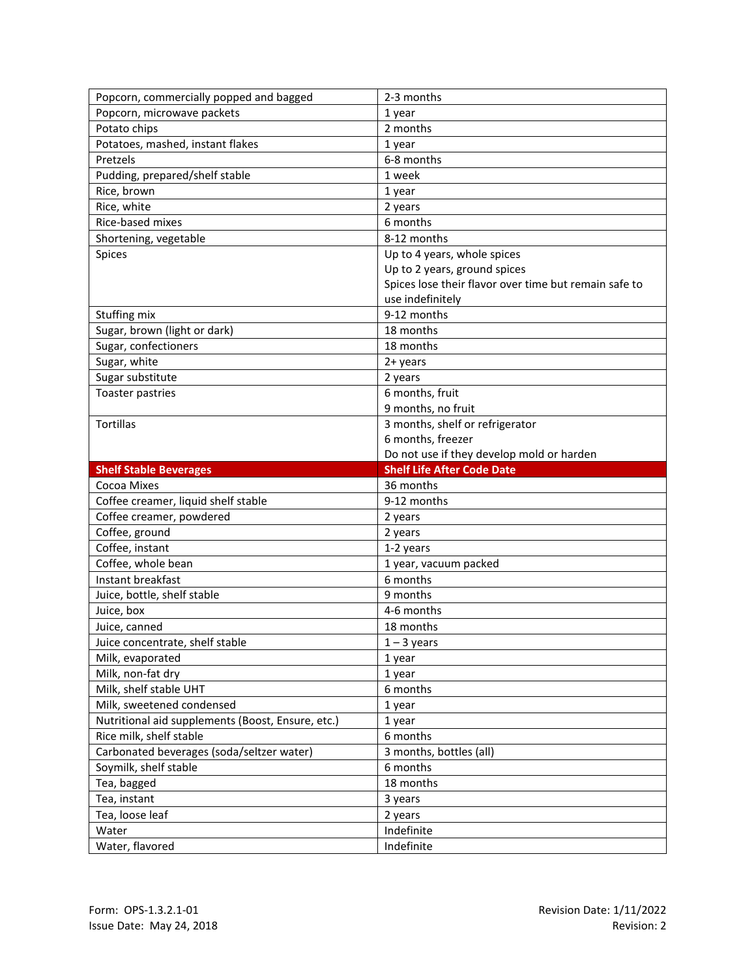| Popcorn, commercially popped and bagged           | 2-3 months                                            |
|---------------------------------------------------|-------------------------------------------------------|
| Popcorn, microwave packets                        | 1 year                                                |
| Potato chips                                      | 2 months                                              |
| Potatoes, mashed, instant flakes                  | 1 year                                                |
| Pretzels                                          | 6-8 months                                            |
| Pudding, prepared/shelf stable                    | 1 week                                                |
| Rice, brown                                       | 1 year                                                |
| Rice, white                                       | 2 years                                               |
| Rice-based mixes                                  | 6 months                                              |
| Shortening, vegetable                             | 8-12 months                                           |
| Spices                                            | Up to 4 years, whole spices                           |
|                                                   | Up to 2 years, ground spices                          |
|                                                   | Spices lose their flavor over time but remain safe to |
|                                                   | use indefinitely                                      |
| Stuffing mix                                      | 9-12 months                                           |
| Sugar, brown (light or dark)                      | 18 months                                             |
| Sugar, confectioners                              | 18 months                                             |
| Sugar, white                                      | $2 + years$                                           |
| Sugar substitute                                  | 2 years                                               |
| Toaster pastries                                  | 6 months, fruit                                       |
|                                                   | 9 months, no fruit                                    |
| Tortillas                                         | 3 months, shelf or refrigerator                       |
|                                                   | 6 months, freezer                                     |
|                                                   | Do not use if they develop mold or harden             |
|                                                   |                                                       |
| <b>Shelf Stable Beverages</b>                     | <b>Shelf Life After Code Date</b>                     |
| Cocoa Mixes                                       | 36 months                                             |
| Coffee creamer, liquid shelf stable               | 9-12 months                                           |
| Coffee creamer, powdered                          | 2 years                                               |
| Coffee, ground                                    | 2 years                                               |
| Coffee, instant                                   | 1-2 years                                             |
| Coffee, whole bean                                | 1 year, vacuum packed                                 |
| Instant breakfast                                 | 6 months                                              |
| Juice, bottle, shelf stable                       | 9 months                                              |
| Juice, box                                        | 4-6 months                                            |
| Juice, canned                                     | 18 months                                             |
| Juice concentrate, shelf stable                   | $1 - 3$ years                                         |
| Milk, evaporated                                  | 1 year                                                |
| Milk, non-fat dry                                 | 1 year                                                |
| Milk, shelf stable UHT                            | 6 months                                              |
| Milk, sweetened condensed                         | 1 year                                                |
| Nutritional aid supplements (Boost, Ensure, etc.) | 1 year                                                |
| Rice milk, shelf stable                           | 6 months                                              |
| Carbonated beverages (soda/seltzer water)         | 3 months, bottles (all)                               |
| Soymilk, shelf stable                             | 6 months                                              |
| Tea, bagged                                       | 18 months                                             |
| Tea, instant                                      | 3 years                                               |
| Tea, loose leaf                                   | 2 years                                               |
| Water<br>Water, flavored                          | Indefinite<br>Indefinite                              |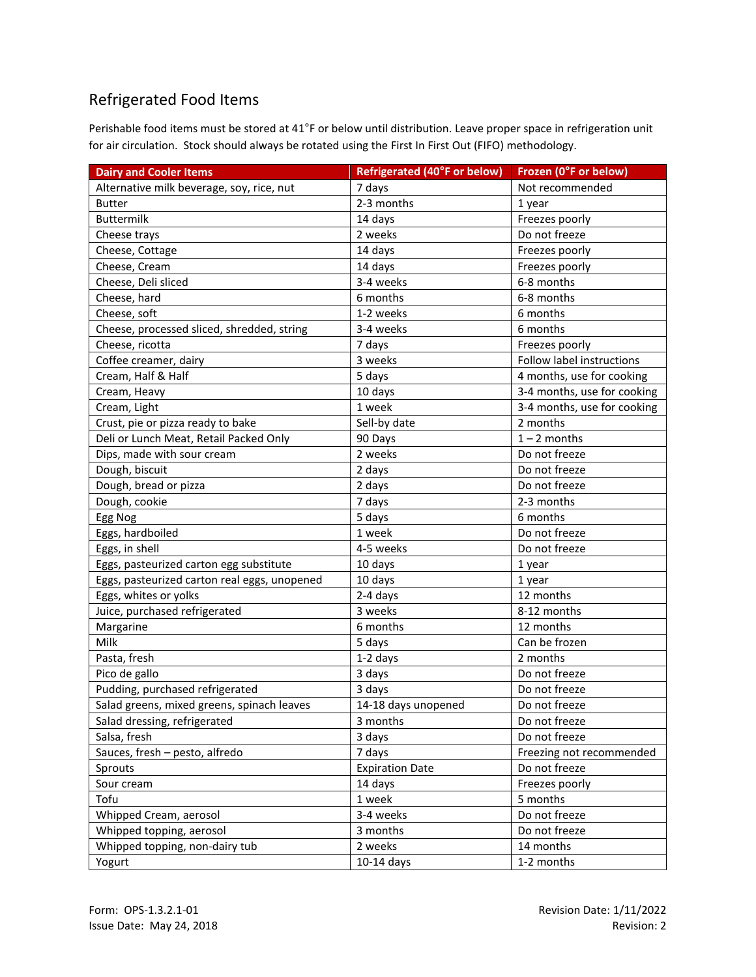## Refrigerated Food Items

Perishable food items must be stored at 41°F or below until distribution. Leave proper space in refrigeration unit for air circulation. Stock should always be rotated using the First In First Out (FIFO) methodology.

| <b>Dairy and Cooler Items</b>                | <b>Refrigerated (40°F or below)</b> | Frozen (0°F or below)       |
|----------------------------------------------|-------------------------------------|-----------------------------|
| Alternative milk beverage, soy, rice, nut    | 7 days                              | Not recommended             |
| <b>Butter</b>                                | 2-3 months                          | 1 year                      |
| <b>Buttermilk</b>                            | 14 days                             | Freezes poorly              |
| Cheese trays                                 | 2 weeks                             | Do not freeze               |
| Cheese, Cottage                              | 14 days                             | Freezes poorly              |
| Cheese, Cream                                | 14 days                             | Freezes poorly              |
| Cheese, Deli sliced                          | 3-4 weeks                           | 6-8 months                  |
| Cheese, hard                                 | 6 months                            | 6-8 months                  |
| Cheese, soft                                 | 1-2 weeks                           | 6 months                    |
| Cheese, processed sliced, shredded, string   | 3-4 weeks                           | 6 months                    |
| Cheese, ricotta                              | 7 days                              | Freezes poorly              |
| Coffee creamer, dairy                        | 3 weeks                             | Follow label instructions   |
| Cream, Half & Half                           | 5 days                              | 4 months, use for cooking   |
| Cream, Heavy                                 | 10 days                             | 3-4 months, use for cooking |
| Cream, Light                                 | 1 week                              | 3-4 months, use for cooking |
| Crust, pie or pizza ready to bake            | Sell-by date                        | 2 months                    |
| Deli or Lunch Meat, Retail Packed Only       | 90 Days                             | $1 - 2$ months              |
| Dips, made with sour cream                   | 2 weeks                             | Do not freeze               |
| Dough, biscuit                               | 2 days                              | Do not freeze               |
| Dough, bread or pizza                        | 2 days                              | Do not freeze               |
| Dough, cookie                                | 7 days                              | 2-3 months                  |
| Egg Nog                                      | 5 days                              | 6 months                    |
| Eggs, hardboiled                             | 1 week                              | Do not freeze               |
| Eggs, in shell                               | 4-5 weeks                           | Do not freeze               |
| Eggs, pasteurized carton egg substitute      | 10 days                             | 1 year                      |
| Eggs, pasteurized carton real eggs, unopened | 10 days                             | 1 year                      |
| Eggs, whites or yolks                        | 2-4 days                            | 12 months                   |
| Juice, purchased refrigerated                | 3 weeks                             | 8-12 months                 |
| Margarine                                    | 6 months                            | 12 months                   |
| Milk                                         | 5 days                              | Can be frozen               |
| Pasta, fresh                                 | 1-2 days                            | 2 months                    |
| Pico de gallo                                | 3 days                              | Do not freeze               |
| Pudding, purchased refrigerated              | 3 days                              | Do not freeze               |
| Salad greens, mixed greens, spinach leaves   | 14-18 days unopened                 | Do not freeze               |
| Salad dressing, refrigerated                 | 3 months                            | Do not freeze               |
| Salsa, fresh                                 | 3 days                              | Do not freeze               |
| Sauces, fresh - pesto, alfredo               | 7 days                              | Freezing not recommended    |
| Sprouts                                      | <b>Expiration Date</b>              | Do not freeze               |
| Sour cream                                   | 14 days                             | Freezes poorly              |
| Tofu                                         | 1 week                              | 5 months                    |
| Whipped Cream, aerosol                       | 3-4 weeks                           | Do not freeze               |
| Whipped topping, aerosol                     | 3 months                            | Do not freeze               |
| Whipped topping, non-dairy tub               | 2 weeks                             | 14 months                   |
| Yogurt                                       | $10-14$ days                        | 1-2 months                  |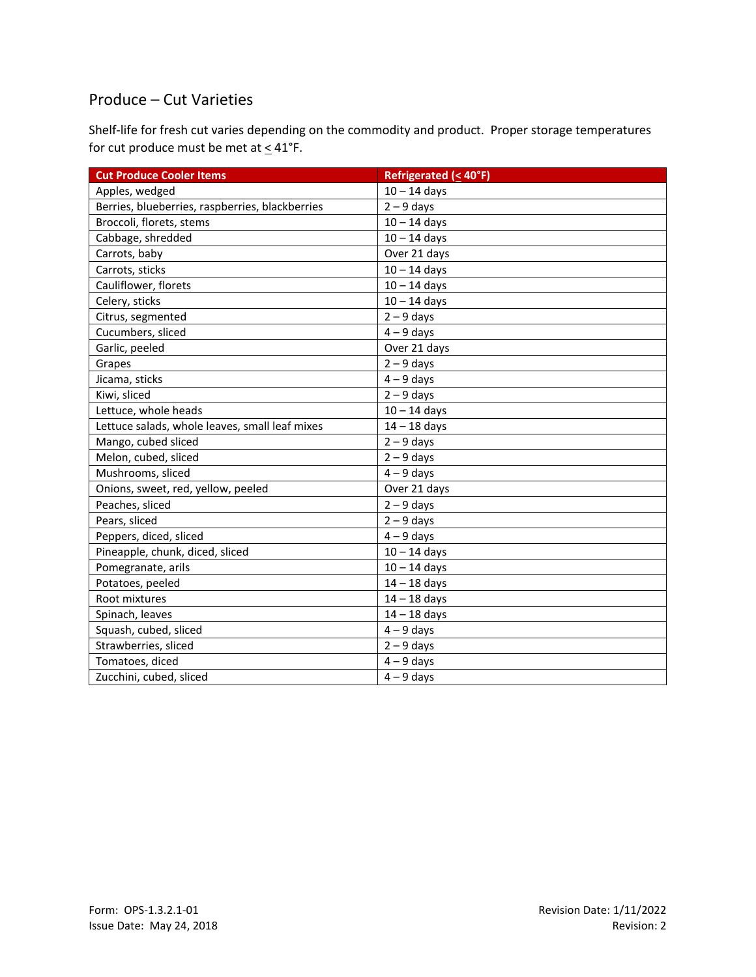#### Produce – Cut Varieties

Shelf-life for fresh cut varies depending on the commodity and product. Proper storage temperatures for cut produce must be met at  $\leq 41^{\circ}$ F.

| <b>Cut Produce Cooler Items</b>                 | <b>Refrigerated (&lt; 40°F)</b> |
|-------------------------------------------------|---------------------------------|
| Apples, wedged                                  | $10 - 14$ days                  |
| Berries, blueberries, raspberries, blackberries | $2 - 9$ days                    |
| Broccoli, florets, stems                        | $10 - 14$ days                  |
| Cabbage, shredded                               | $10 - 14$ days                  |
| Carrots, baby                                   | Over 21 days                    |
| Carrots, sticks                                 | $10 - 14$ days                  |
| Cauliflower, florets                            | $10 - 14$ days                  |
| Celery, sticks                                  | $10 - 14$ days                  |
| Citrus, segmented                               | $2 - 9$ days                    |
| Cucumbers, sliced                               | $4 - 9$ days                    |
| Garlic, peeled                                  | Over 21 days                    |
| Grapes                                          | $2 - 9$ days                    |
| Jicama, sticks                                  | $4 - 9$ days                    |
| Kiwi, sliced                                    | $2 - 9$ days                    |
| Lettuce, whole heads                            | $10 - 14$ days                  |
| Lettuce salads, whole leaves, small leaf mixes  | $14 - 18$ days                  |
| Mango, cubed sliced                             | $2 - 9$ days                    |
| Melon, cubed, sliced                            | $2 - 9$ days                    |
| Mushrooms, sliced                               | $4 - 9$ days                    |
| Onions, sweet, red, yellow, peeled              | Over 21 days                    |
| Peaches, sliced                                 | $2 - 9$ days                    |
| Pears, sliced                                   | $2 - 9$ days                    |
| Peppers, diced, sliced                          | $4 - 9$ days                    |
| Pineapple, chunk, diced, sliced                 | $10 - 14$ days                  |
| Pomegranate, arils                              | $10 - 14$ days                  |
| Potatoes, peeled                                | $14 - 18$ days                  |
| Root mixtures                                   | $14 - 18$ days                  |
| Spinach, leaves                                 | $14 - 18$ days                  |
| Squash, cubed, sliced                           | $4 - 9$ days                    |
| Strawberries, sliced                            | $2 - 9$ days                    |
| Tomatoes, diced                                 | $4 - 9$ days                    |
| Zucchini, cubed, sliced                         | $4 - 9$ days                    |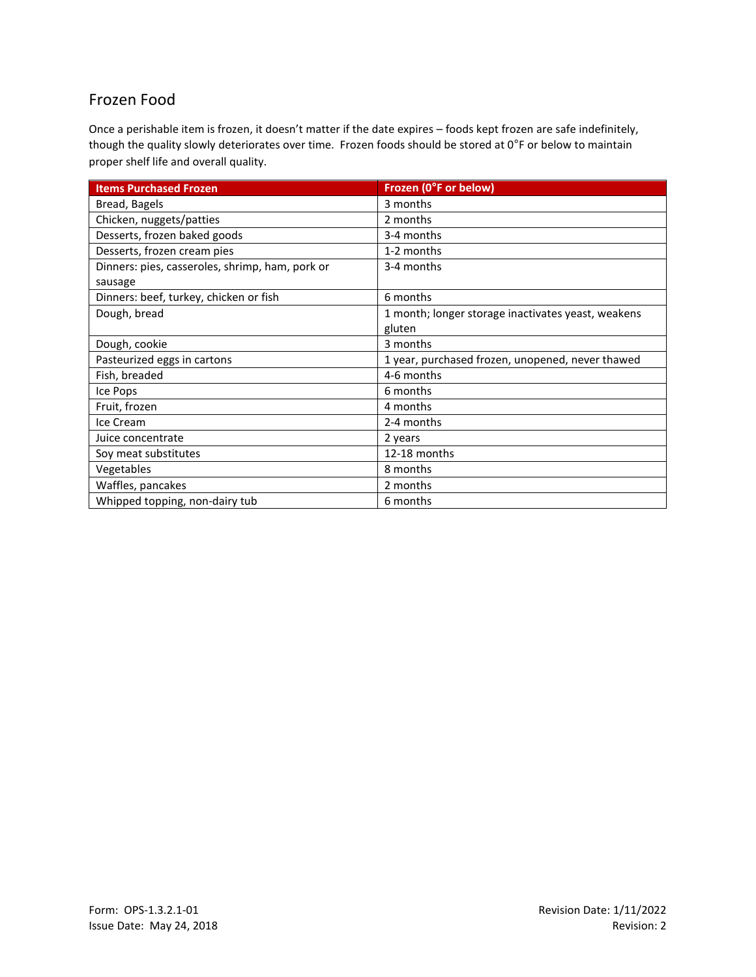## Frozen Food

Once a perishable item is frozen, it doesn't matter if the date expires – foods kept frozen are safe indefinitely, though the quality slowly deteriorates over time. Frozen foods should be stored at 0°F or below to maintain proper shelf life and overall quality.

| <b>Items Purchased Frozen</b>                   | Frozen (0°F or below)                              |
|-------------------------------------------------|----------------------------------------------------|
| Bread, Bagels                                   | 3 months                                           |
| Chicken, nuggets/patties                        | 2 months                                           |
| Desserts, frozen baked goods                    | 3-4 months                                         |
| Desserts, frozen cream pies                     | 1-2 months                                         |
| Dinners: pies, casseroles, shrimp, ham, pork or | 3-4 months                                         |
| sausage                                         |                                                    |
| Dinners: beef, turkey, chicken or fish          | 6 months                                           |
| Dough, bread                                    | 1 month; longer storage inactivates yeast, weakens |
|                                                 | gluten                                             |
| Dough, cookie                                   | 3 months                                           |
| Pasteurized eggs in cartons                     | 1 year, purchased frozen, unopened, never thawed   |
| Fish, breaded                                   | 4-6 months                                         |
| Ice Pops                                        | 6 months                                           |
| Fruit, frozen                                   | 4 months                                           |
| Ice Cream                                       | 2-4 months                                         |
| Juice concentrate                               | 2 years                                            |
| Soy meat substitutes                            | 12-18 months                                       |
| Vegetables                                      | 8 months                                           |
| Waffles, pancakes                               | 2 months                                           |
| Whipped topping, non-dairy tub                  | 6 months                                           |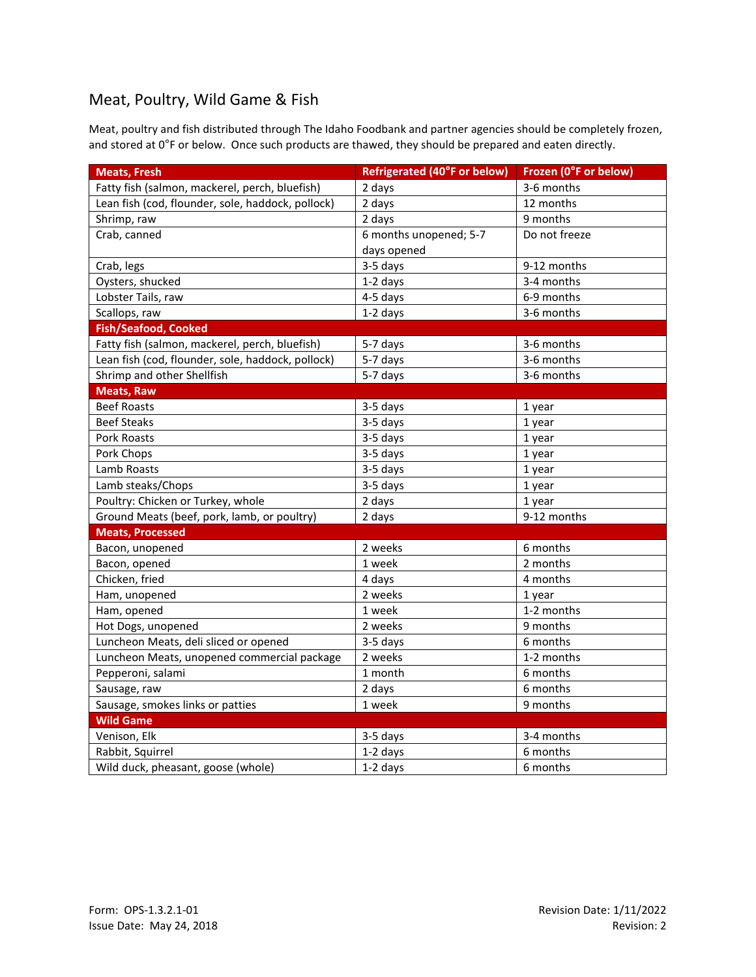### Meat, Poultry, Wild Game & Fish

Meat, poultry and fish distributed through The Idaho Foodbank and partner agencies should be completely frozen, and stored at 0°F or below. Once such products are thawed, they should be prepared and eaten directly.

| <b>Meats, Fresh</b>                               | <b>Refrigerated (40°F or below)</b> | Frozen (0°F or below) |
|---------------------------------------------------|-------------------------------------|-----------------------|
| Fatty fish (salmon, mackerel, perch, bluefish)    | 2 days                              | 3-6 months            |
| Lean fish (cod, flounder, sole, haddock, pollock) | 2 days                              | 12 months             |
| Shrimp, raw                                       | 2 days                              | 9 months              |
| Crab, canned                                      | 6 months unopened; 5-7              | Do not freeze         |
|                                                   | days opened                         |                       |
| Crab, legs                                        | 3-5 days                            | 9-12 months           |
| Oysters, shucked                                  | 1-2 days                            | 3-4 months            |
| Lobster Tails, raw                                | 4-5 days                            | 6-9 months            |
| Scallops, raw                                     | 1-2 days                            | 3-6 months            |
| <b>Fish/Seafood, Cooked</b>                       |                                     |                       |
| Fatty fish (salmon, mackerel, perch, bluefish)    | 5-7 days                            | 3-6 months            |
| Lean fish (cod, flounder, sole, haddock, pollock) | 5-7 days                            | 3-6 months            |
| Shrimp and other Shellfish                        | 5-7 days                            | 3-6 months            |
| <b>Meats, Raw</b>                                 |                                     |                       |
| <b>Beef Roasts</b>                                | 3-5 days                            | 1 year                |
| <b>Beef Steaks</b>                                | 3-5 days                            | 1 year                |
| Pork Roasts                                       | 3-5 days                            | 1 year                |
| Pork Chops                                        | 3-5 days                            | 1 year                |
| Lamb Roasts                                       | 3-5 days                            | 1 year                |
| Lamb steaks/Chops                                 | 3-5 days                            | 1 year                |
| Poultry: Chicken or Turkey, whole                 | 2 days                              | 1 year                |
| Ground Meats (beef, pork, lamb, or poultry)       | 2 days                              | 9-12 months           |
| <b>Meats, Processed</b>                           |                                     |                       |
| Bacon, unopened                                   | 2 weeks                             | 6 months              |
| Bacon, opened                                     | 1 week                              | 2 months              |
| Chicken, fried                                    | 4 days                              | 4 months              |
| Ham, unopened                                     | 2 weeks                             | 1 year                |
| Ham, opened                                       | 1 week                              | 1-2 months            |
| Hot Dogs, unopened                                | 2 weeks                             | 9 months              |
| Luncheon Meats, deli sliced or opened             | 3-5 days                            | 6 months              |
| Luncheon Meats, unopened commercial package       | 2 weeks                             | 1-2 months            |
| Pepperoni, salami                                 | 1 month                             | 6 months              |
| Sausage, raw                                      | 2 days                              | 6 months              |
| Sausage, smokes links or patties                  | 1 week                              | 9 months              |
| <b>Wild Game</b>                                  |                                     |                       |
| Venison, Elk                                      | 3-5 days                            | 3-4 months            |
| Rabbit, Squirrel                                  | 1-2 days                            | 6 months              |
| Wild duck, pheasant, goose (whole)                | 1-2 days                            | 6 months              |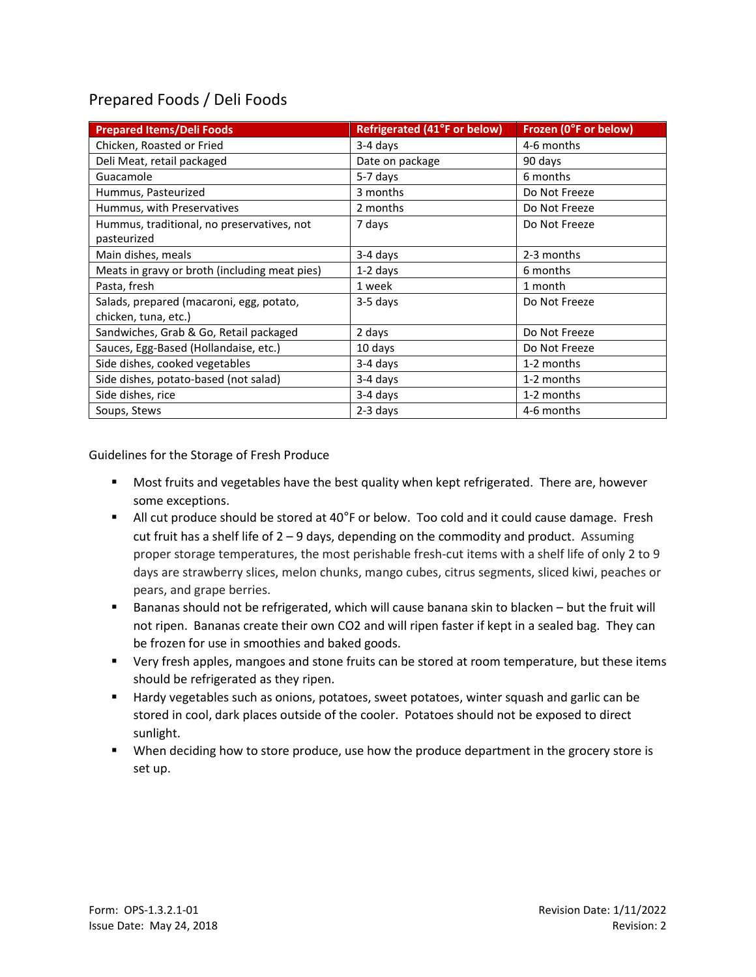## Prepared Foods / Deli Foods

| <b>Prepared Items/Deli Foods</b>                          | <b>Refrigerated (41°F or below)</b> | Frozen (0°F or below) |
|-----------------------------------------------------------|-------------------------------------|-----------------------|
| Chicken, Roasted or Fried                                 | 3-4 days                            | 4-6 months            |
| Deli Meat, retail packaged                                | Date on package                     | 90 days               |
| Guacamole                                                 | 5-7 days                            | 6 months              |
| Hummus, Pasteurized                                       | 3 months                            | Do Not Freeze         |
| Hummus, with Preservatives                                | 2 months                            | Do Not Freeze         |
| Hummus, traditional, no preservatives, not<br>pasteurized | 7 days                              | Do Not Freeze         |
| Main dishes, meals                                        | 3-4 days                            | 2-3 months            |
| Meats in gravy or broth (including meat pies)             | $1-2$ days                          | 6 months              |
| Pasta, fresh                                              | 1 week                              | 1 month               |
| Salads, prepared (macaroni, egg, potato,                  | 3-5 days                            | Do Not Freeze         |
| chicken, tuna, etc.)                                      |                                     |                       |
| Sandwiches, Grab & Go, Retail packaged                    | 2 days                              | Do Not Freeze         |
| Sauces, Egg-Based (Hollandaise, etc.)                     | 10 days                             | Do Not Freeze         |
| Side dishes, cooked vegetables                            | 3-4 days                            | 1-2 months            |
| Side dishes, potato-based (not salad)                     | 3-4 days                            | 1-2 months            |
| Side dishes, rice                                         | 3-4 days                            | 1-2 months            |
| Soups, Stews                                              | $2-3$ days                          | 4-6 months            |

Guidelines for the Storage of Fresh Produce

- Most fruits and vegetables have the best quality when kept refrigerated. There are, however some exceptions.
- All cut produce should be stored at 40 $\degree$ F or below. Too cold and it could cause damage. Fresh cut fruit has a shelf life of 2 – 9 days, depending on the commodity and product. Assuming proper storage temperatures, the most perishable fresh-cut items with a shelf life of only 2 to 9 days are strawberry slices, melon chunks, mango cubes, citrus segments, sliced kiwi, peaches or pears, and grape berries.
- Bananas should not be refrigerated, which will cause banana skin to blacken but the fruit will not ripen. Bananas create their own CO2 and will ripen faster if kept in a sealed bag. They can be frozen for use in smoothies and baked goods.
- Very fresh apples, mangoes and stone fruits can be stored at room temperature, but these items should be refrigerated as they ripen.
- Hardy vegetables such as onions, potatoes, sweet potatoes, winter squash and garlic can be stored in cool, dark places outside of the cooler. Potatoes should not be exposed to direct sunlight.
- When deciding how to store produce, use how the produce department in the grocery store is set up.